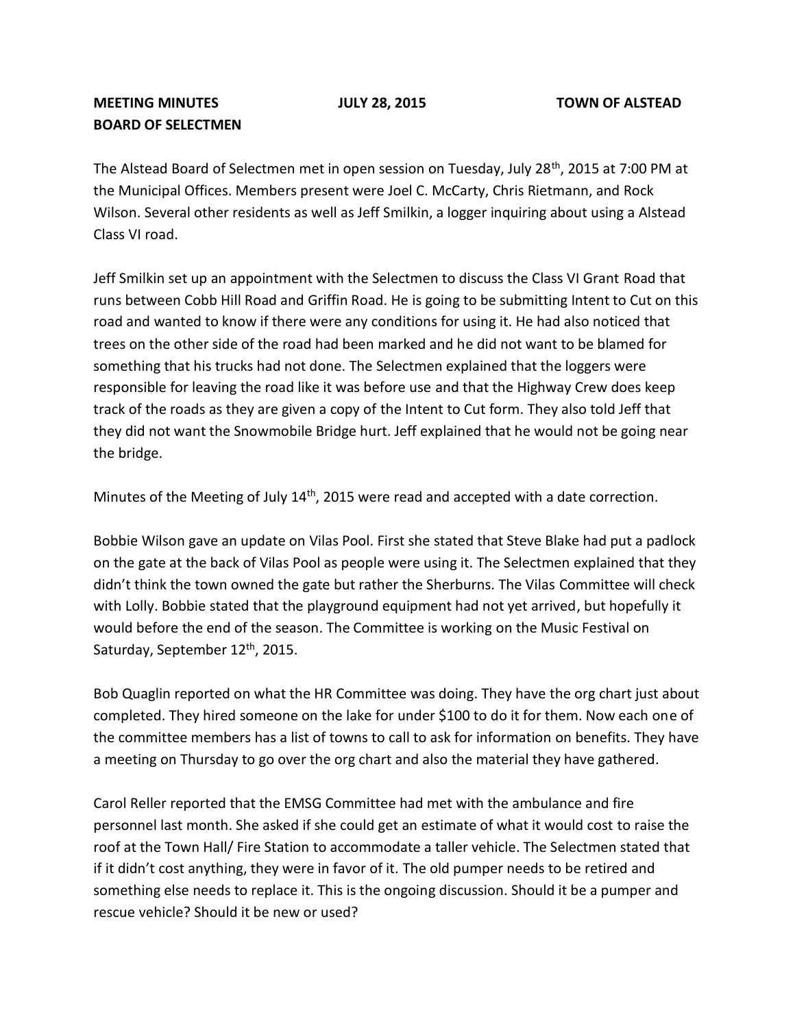## **MEETING MINUTES JULY 28, 2015 TOWN OF ALSTEAD BOARD OF SELECTMEN**

The Alstead Board of Selectmen met in open session on Tuesday, July 28<sup>th</sup>, 2015 at 7:00 PM at the Municipal Offices. Members present were Joel C. McCarty, Chris Rietmann, and Rock Wilson. Several other residents as well as Jeff Smilkin, a logger inquiring about using a Alstead Class VI road.

Jeff Smilkin set up an appointment with the Selectmen to discuss the Class VI Grant Road that runs between Cobb Hill Road and Griffin Road. He is going to be submitting Intent to Cut on this road and wanted to know if there were any conditions for using it. He had also noticed that trees on the other side of the road had been marked and he did not want to be blamed for something that his trucks had not done. The Selectmen explained that the loggers were responsible for leaving the road like it was before use and that the Highway Crew does keep track of the roads as they are given a copy of the Intent to Cut form. They also told Jeff that they did not want the Snowmobile Bridge hurt. Jeff explained that he would not be going near the bridge.

Minutes of the Meeting of July 14<sup>th</sup>, 2015 were read and accepted with a date correction.

Bobbie Wilson gave an update on Vilas Pool. First she stated that Steve Blake had put a padlock on the gate at the back of Vilas Pool as people were using it. The Selectmen explained that they didn't think the town owned the gate but rather the Sherburns. The Vilas Committee will check with Lolly. Bobbie stated that the playground equipment had not yet arrived, but hopefully it would before the end of the season. The Committee is working on the Music Festival on Saturday, September 12<sup>th</sup>, 2015.

Bob Quaglin reported on what the HR Committee was doing. They have the org chart just about completed. They hired someone on the lake for under \$100 to do it for them. Now each one of the committee members has a list of towns to call to ask for information on benefits. They have a meeting on Thursday to go over the org chart and also the material they have gathered.

Carol Reller reported that the EMSG Committee had met with the ambulance and fire personnel last month. She asked if she could get an estimate of what it would cost to raise the roof at the Town Hall/ Fire Station to accommodate a taller vehicle. The Selectmen stated that if it didn't cost anything, they were in favor of it. The old pumper needs to be retired and something else needs to replace it. This is the ongoing discussion. Should it be a pumper and rescue vehicle? Should it be new or used?